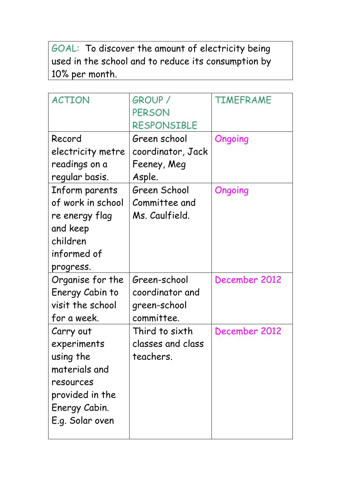GOAL: To discover the amount of electricity being used in the school and to reduce its consumption by 10% per month.

| <b>ACTION</b>     | <b>GROUP /</b>    | TIMEFRAME     |
|-------------------|-------------------|---------------|
|                   | PERSON            |               |
|                   | RESPONSIBLE       |               |
| Record            | Green school      | Ongoing       |
| electricity metre | coordinator, Jack |               |
| readings on a     | Feeney, Meg       |               |
| regular basis.    | Asple.            |               |
| Inform parents    | Green School      | Ongoing       |
| of work in school | Committee and     |               |
| re energy flag    | Ms. Caulfield.    |               |
| and keep          |                   |               |
| children          |                   |               |
| informed of       |                   |               |
| progress.         |                   |               |
| Organise for the  | Green-school      | December 2012 |
| Energy Cabin to   | coordinator and   |               |
| visit the school  | green-school      |               |
| for a week.       | committee.        |               |
| Carry out         | Third to sixth    | December 2012 |
| experiments       | classes and class |               |
| using the         | teachers.         |               |
| materials and     |                   |               |
| resources         |                   |               |
| provided in the   |                   |               |
| Energy Cabin.     |                   |               |
| E.g. Solar oven   |                   |               |
|                   |                   |               |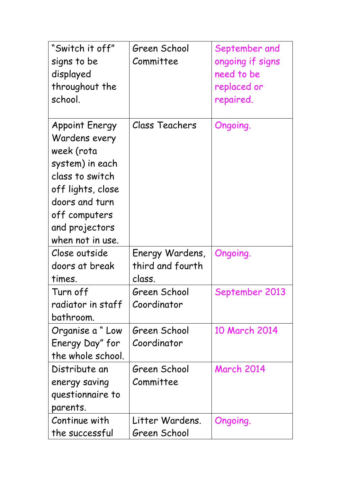| "Switch it off"       | Green School     | September and     |
|-----------------------|------------------|-------------------|
| signs to be           | Committee        | ongoing if signs  |
| displayed             |                  | need to be        |
| throughout the        |                  | replaced or       |
| school.               |                  | repaired.         |
|                       |                  |                   |
| <b>Appoint Energy</b> | Class Teachers   | Ongoing.          |
| Wardens every         |                  |                   |
| week (rota            |                  |                   |
| system) in each       |                  |                   |
| class to switch       |                  |                   |
| off lights, close     |                  |                   |
| doors and turn        |                  |                   |
| off computers         |                  |                   |
| and projectors        |                  |                   |
| when not in use.      |                  |                   |
| Close outside         | Energy Wardens,  | Ongoing.          |
| doors at break        | third and fourth |                   |
| times.                | class.           |                   |
| Turn off              | Green School     | September 2013    |
| radiator in staff     | Coordinator      |                   |
| bathroom.             |                  |                   |
| Organise a "Low       | Green School     | 10 March 2014     |
| Energy Day" for       | Coordinator      |                   |
| the whole school.     |                  |                   |
| Distribute an         | Green School     | <b>March 2014</b> |
| energy saving         | Committee        |                   |
| questionnaire to      |                  |                   |
| parents.              |                  |                   |
| Continue with         | Litter Wardens.  | Ongoing.          |
| the successful        | Green School     |                   |